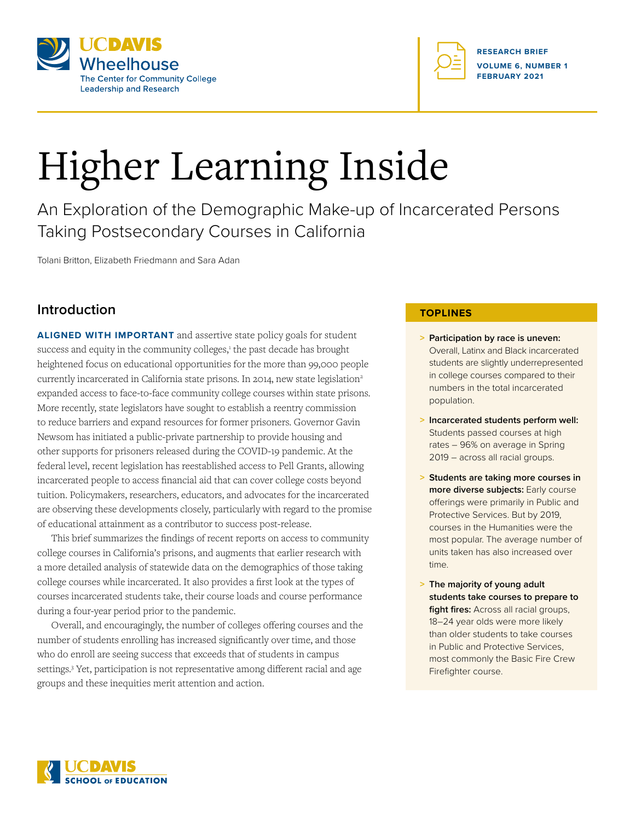



# Higher Learning Inside

An Exploration of the Demographic Make-up of Incarcerated Persons Taking Postsecondary Courses in California

Tolani Britton, Elizabeth Friedmann and Sara Adan

## **Introduction**

**ALIGNED WITH IMPORTANT** and assertive state policy goals for student success and equity in the community colleges,<sup>1</sup> the past decade has brought heightened focus on educational opportunities for the more than 99,000 people currently incarcerated in California state prisons. In 2014, new state legislation<sup>2</sup> expanded access to face-to-face community college courses within state prisons. More recently, state legislators have sought to establish a reentry commission to reduce barriers and expand resources for former prisoners. Governor Gavin Newsom has initiated a public-private partnership to provide housing and other supports for prisoners released during the COVID-19 pandemic. At the federal level, recent legislation has reestablished access to Pell Grants, allowing incarcerated people to access financial aid that can cover college costs beyond tuition. Policymakers, researchers, educators, and advocates for the incarcerated are observing these developments closely, particularly with regard to the promise of educational attainment as a contributor to success post-release.

This brief summarizes the findings of recent reports on access to community college courses in California's prisons, and augments that earlier research with a more detailed analysis of statewide data on the demographics of those taking college courses while incarcerated. It also provides a first look at the types of courses incarcerated students take, their course loads and course performance during a four-year period prior to the pandemic.

Overall, and encouragingly, the number of colleges offering courses and the number of students enrolling has increased significantly over time, and those who do enroll are seeing success that exceeds that of students in campus settings.<sup>3</sup> Yet, participation is not representative among different racial and age groups and these inequities merit attention and action.

#### **TOPLINES**

- **> Participation by race is uneven:** Overall, Latinx and Black incarcerated students are slightly underrepresented in college courses compared to their numbers in the total incarcerated population.
- **> Incarcerated students perform well:**  Students passed courses at high rates – 96% on average in Spring 2019 – across all racial groups.
- **> Students are taking more courses in more diverse subjects:** Early course offerings were primarily in Public and Protective Services. But by 2019, courses in the Humanities were the most popular. The average number of units taken has also increased over time.
- **> The majority of young adult students take courses to prepare to fight fires:** Across all racial groups, 18–24 year olds were more likely than older students to take courses in Public and Protective Services, most commonly the Basic Fire Crew Firefighter course.

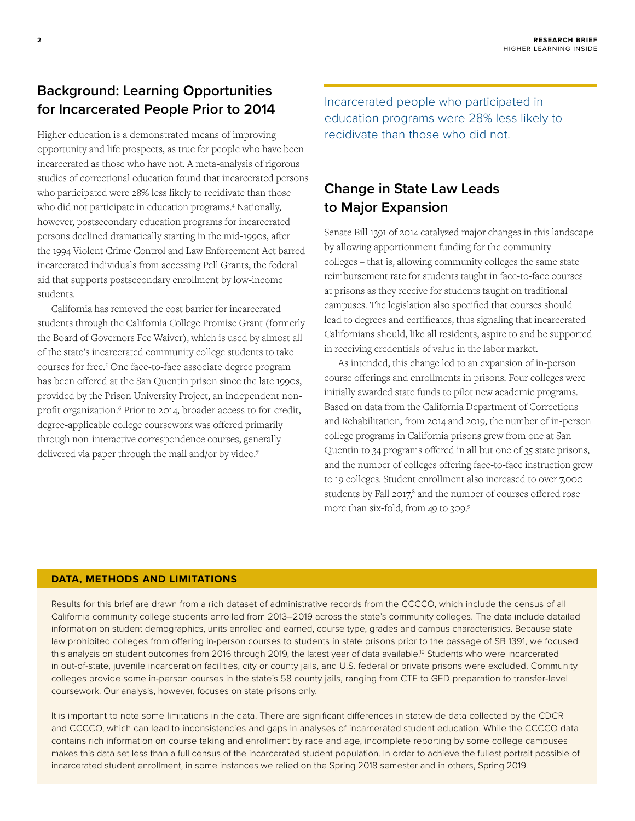# **Background: Learning Opportunities for Incarcerated People Prior to 2014**

Higher education is a demonstrated means of improving opportunity and life prospects, as true for people who have been incarcerated as those who have not. A meta-analysis of rigorous studies of correctional education found that incarcerated persons who participated were 28% less likely to recidivate than those who did not participate in education programs.4 Nationally, however, postsecondary education programs for incarcerated persons declined dramatically starting in the mid-1990s, after the 1994 Violent Crime Control and Law Enforcement Act barred incarcerated individuals from accessing Pell Grants, the federal aid that supports postsecondary enrollment by low-income students.

California has removed the cost barrier for incarcerated students through the California College Promise Grant (formerly the Board of Governors Fee Waiver), which is used by almost all of the state's incarcerated community college students to take courses for free.5 One face-to-face associate degree program has been offered at the San Quentin prison since the late 1990s, provided by the Prison University Project, an independent nonprofit organization.<sup>6</sup> Prior to 2014, broader access to for-credit, degree-applicable college coursework was offered primarily through non-interactive correspondence courses, generally delivered via paper through the mail and/or by video.7

Incarcerated people who participated in education programs were 28% less likely to recidivate than those who did not.

# **Change in State Law Leads to Major Expansion**

Senate Bill 1391 of 2014 catalyzed major changes in this landscape by allowing apportionment funding for the community colleges – that is, allowing community colleges the same state reimbursement rate for students taught in face-to-face courses at prisons as they receive for students taught on traditional campuses. The legislation also specified that courses should lead to degrees and certificates, thus signaling that incarcerated Californians should, like all residents, aspire to and be supported in receiving credentials of value in the labor market.

As intended, this change led to an expansion of in-person course offerings and enrollments in prisons. Four colleges were initially awarded state funds to pilot new academic programs. Based on data from the California Department of Corrections and Rehabilitation, from 2014 and 2019, the number of in-person college programs in California prisons grew from one at San Quentin to 34 programs offered in all but one of 35 state prisons, and the number of colleges offering face-to-face instruction grew to 19 colleges. Student enrollment also increased to over 7,000 students by Fall 2017,<sup>8</sup> and the number of courses offered rose more than six-fold, from 49 to 309.9

#### **DATA, METHODS AND LIMITATIONS**

Results for this brief are drawn from a rich dataset of administrative records from the CCCCO, which include the census of all California community college students enrolled from 2013–2019 across the state's community colleges. The data include detailed information on student demographics, units enrolled and earned, course type, grades and campus characteristics. Because state law prohibited colleges from offering in-person courses to students in state prisons prior to the passage of SB 1391, we focused this analysis on student outcomes from 2016 through 2019, the latest year of data available.<sup>10</sup> Students who were incarcerated in out-of-state, juvenile incarceration facilities, city or county jails, and U.S. federal or private prisons were excluded. Community colleges provide some in-person courses in the state's 58 county jails, ranging from CTE to GED preparation to transfer-level coursework. Our analysis, however, focuses on state prisons only.

It is important to note some limitations in the data. There are significant differences in statewide data collected by the CDCR and CCCCO, which can lead to inconsistencies and gaps in analyses of incarcerated student education. While the CCCCO data contains rich information on course taking and enrollment by race and age, incomplete reporting by some college campuses makes this data set less than a full census of the incarcerated student population. In order to achieve the fullest portrait possible of incarcerated student enrollment, in some instances we relied on the Spring 2018 semester and in others, Spring 2019.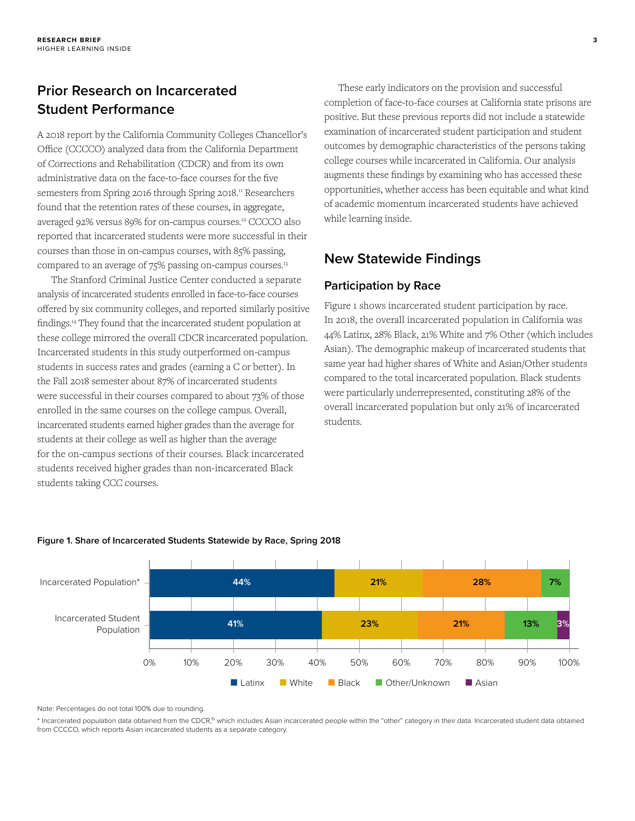# **Prior Research on Incarcerated Student Performance**

A 2018 report by the California Community Colleges Chancellor's Office (CCCCO) analyzed data from the California Department of Corrections and Rehabilitation (CDCR) and from its own administrative data on the face-to-face courses for the five semesters from Spring 2016 through Spring 2018.<sup>11</sup> Researchers found that the retention rates of these courses, in aggregate, averaged 92% versus 89% for on-campus courses.12 CCCCO also reported that incarcerated students were more successful in their courses than those in on-campus courses, with 85% passing, compared to an average of 75% passing on-campus courses.<sup>13</sup>

The Stanford Criminal Justice Center conducted a separate analysis of incarcerated students enrolled in face-to-face courses offered by six community colleges, and reported similarly positive findings.14 They found that the incarcerated student population at these college mirrored the overall CDCR incarcerated population. Incarcerated students in this study outperformed on-campus students in success rates and grades (earning a C or better). In the Fall 2018 semester about 87% of incarcerated students were successful in their courses compared to about 73% of those enrolled in the same courses on the college campus. Overall, incarcerated students earned higher grades than the average for students at their college as well as higher than the average for the on-campus sections of their courses. Black incarcerated students received higher grades than non-incarcerated Black students taking CCC courses.

These early indicators on the provision and successful completion of face-to-face courses at California state prisons are positive. But these previous reports did not include a statewide examination of incarcerated student participation and student outcomes by demographic characteristics of the persons taking college courses while incarcerated in California. Our analysis augments these findings by examining who has accessed these opportunities, whether access has been equitable and what kind of academic momentum incarcerated students have achieved while learning inside.

## **New Statewide Findings**

#### **Participation by Race**

Figure 1 shows incarcerated student participation by race. In 2018, the overall incarcerated population in California was 44% Latinx, 28% Black, 21% White and 7% Other (which includes Asian). The demographic makeup of incarcerated students that same year had higher shares of White and Asian/Other students compared to the total incarcerated population. Black students were particularly underrepresented, constituting 28% of the overall incarcerated population but only 21% of incarcerated students.



#### **Figure 1. Share of Incarcerated Students Statewide by Race, Spring 2018**

Note: Percentages do not total 100% due to rounding.

\* Incarcerated population data obtained from the CDCR,<sup>15</sup> which includes Asian incarcerated people within the "other" category in their data. Incarcerated student data obtained from CCCCO, which reports Asian incarcerated students as a separate category.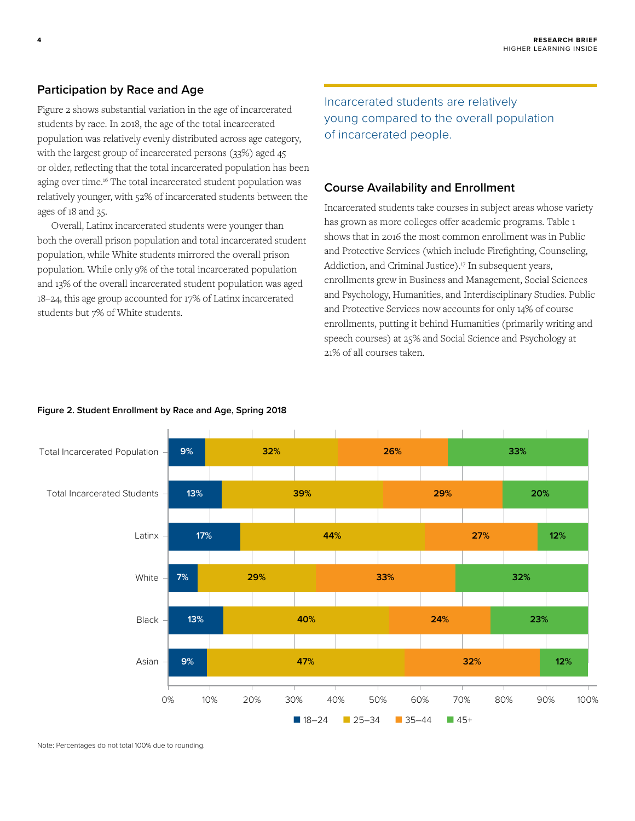### **Participation by Race and Age**

Figure 2 shows substantial variation in the age of incarcerated students by race. In 2018, the age of the total incarcerated population was relatively evenly distributed across age category, with the largest group of incarcerated persons (33%) aged 45 or older, reflecting that the total incarcerated population has been aging over time.16 The total incarcerated student population was relatively younger, with 52% of incarcerated students between the ages of 18 and 35.

Overall, Latinx incarcerated students were younger than both the overall prison population and total incarcerated student population, while White students mirrored the overall prison population. While only 9% of the total incarcerated population and 13% of the overall incarcerated student population was aged 18–24, this age group accounted for 17% of Latinx incarcerated students but 7% of White students.

Incarcerated students are relatively young compared to the overall population of incarcerated people.

#### **Course Availability and Enrollment**

Incarcerated students take courses in subject areas whose variety has grown as more colleges offer academic programs. Table 1 shows that in 2016 the most common enrollment was in Public and Protective Services (which include Firefighting, Counseling, Addiction, and Criminal Justice).<sup>17</sup> In subsequent years, enrollments grew in Business and Management, Social Sciences and Psychology, Humanities, and Interdisciplinary Studies. Public and Protective Services now accounts for only 14% of course enrollments, putting it behind Humanities (primarily writing and speech courses) at 25% and Social Science and Psychology at 21% of all courses taken.



#### **Figure 2. Student Enrollment by Race and Age, Spring 2018**

Note: Percentages do not total 100% due to rounding.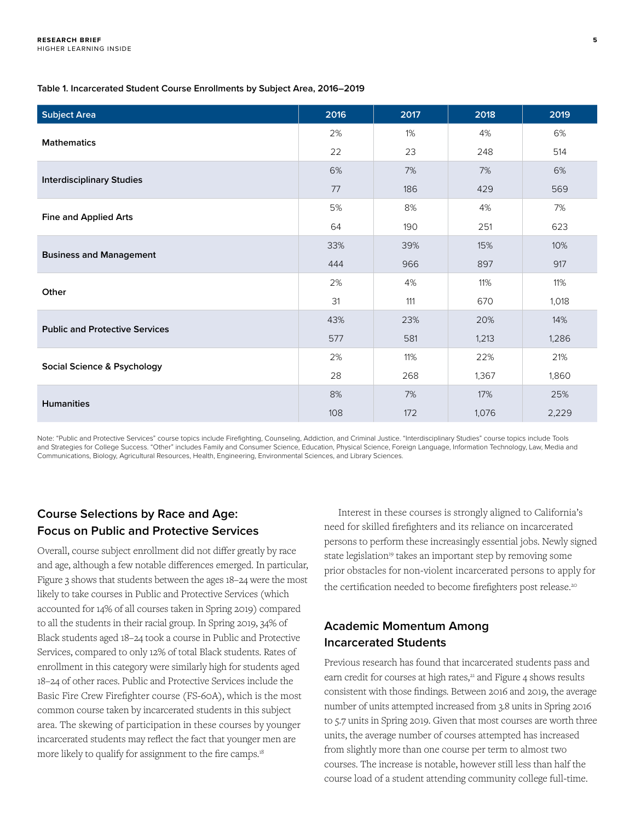#### **Table 1. Incarcerated Student Course Enrollments by Subject Area, 2016–2019**

| <b>Subject Area</b>                    | 2016 | 2017 | 2018  | 2019  |
|----------------------------------------|------|------|-------|-------|
| <b>Mathematics</b>                     | 2%   | 1%   | 4%    | 6%    |
|                                        | 22   | 23   | 248   | 514   |
| <b>Interdisciplinary Studies</b>       | 6%   | 7%   | 7%    | 6%    |
|                                        | 77   | 186  | 429   | 569   |
| <b>Fine and Applied Arts</b>           | 5%   | 8%   | 4%    | 7%    |
|                                        | 64   | 190  | 251   | 623   |
| <b>Business and Management</b>         | 33%  | 39%  | 15%   | 10%   |
|                                        | 444  | 966  | 897   | 917   |
| Other                                  | 2%   | 4%   | 11%   | 11%   |
|                                        | 31   | 111  | 670   | 1,018 |
| <b>Public and Protective Services</b>  | 43%  | 23%  | 20%   | 14%   |
|                                        | 577  | 581  | 1,213 | 1,286 |
| <b>Social Science &amp; Psychology</b> | 2%   | 11%  | 22%   | 21%   |
|                                        | 28   | 268  | 1,367 | 1,860 |
| <b>Humanities</b>                      | 8%   | 7%   | 17%   | 25%   |
|                                        | 108  | 172  | 1,076 | 2,229 |

Note: "Public and Protective Services" course topics include Firefighting, Counseling, Addiction, and Criminal Justice. "Interdisciplinary Studies" course topics include Tools and Strategies for College Success. "Other" includes Family and Consumer Science, Education, Physical Science, Foreign Language, Information Technology, Law, Media and Communications, Biology, Agricultural Resources, Health, Engineering, Environmental Sciences, and Library Sciences.

## **Course Selections by Race and Age: Focus on Public and Protective Services**

Overall, course subject enrollment did not differ greatly by race and age, although a few notable differences emerged. In particular, Figure 3 shows that students between the ages 18–24 were the most likely to take courses in Public and Protective Services (which accounted for 14% of all courses taken in Spring 2019) compared to all the students in their racial group. In Spring 2019, 34% of Black students aged 18–24 took a course in Public and Protective Services, compared to only 12% of total Black students. Rates of enrollment in this category were similarly high for students aged 18–24 of other races. Public and Protective Services include the Basic Fire Crew Firefighter course (FS-60A), which is the most common course taken by incarcerated students in this subject area. The skewing of participation in these courses by younger incarcerated students may reflect the fact that younger men are more likely to qualify for assignment to the fire camps.<sup>18</sup>

Interest in these courses is strongly aligned to California's need for skilled firefighters and its reliance on incarcerated persons to perform these increasingly essential jobs. Newly signed state legislation<sup>19</sup> takes an important step by removing some prior obstacles for non-violent incarcerated persons to apply for the certification needed to become firefighters post release.<sup>20</sup>

## **Academic Momentum Among Incarcerated Students**

Previous research has found that incarcerated students pass and earn credit for courses at high rates,<sup>21</sup> and Figure 4 shows results consistent with those findings. Between 2016 and 2019, the average number of units attempted increased from 3.8 units in Spring 2016 to 5.7 units in Spring 2019. Given that most courses are worth three units, the average number of courses attempted has increased from slightly more than one course per term to almost two courses. The increase is notable, however still less than half the course load of a student attending community college full-time.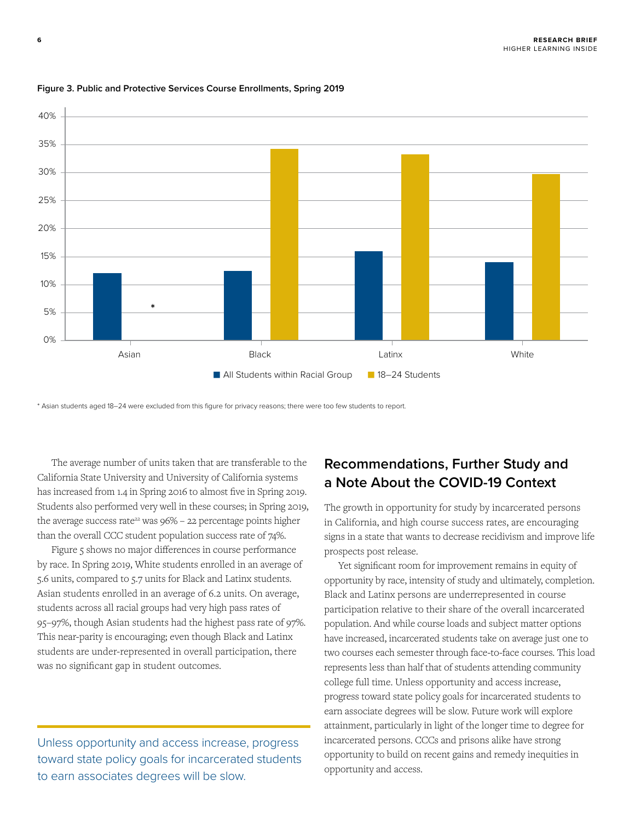

#### **Figure 3. Public and Protective Services Course Enrollments, Spring 2019**

\* Asian students aged 18–24 were excluded from this figure for privacy reasons; there were too few students to report.

The average number of units taken that are transferable to the California State University and University of California systems has increased from 1.4 in Spring 2016 to almost five in Spring 2019. Students also performed very well in these courses; in Spring 2019, the average success rate<sup>22</sup> was  $96\%$  – 22 percentage points higher than the overall CCC student population success rate of 74%.

Figure 5 shows no major differences in course performance by race. In Spring 2019, White students enrolled in an average of 5.6 units, compared to 5.7 units for Black and Latinx students. Asian students enrolled in an average of 6.2 units. On average, students across all racial groups had very high pass rates of 95–97%, though Asian students had the highest pass rate of 97%. This near-parity is encouraging; even though Black and Latinx students are under-represented in overall participation, there was no significant gap in student outcomes.

Unless opportunity and access increase, progress toward state policy goals for incarcerated students to earn associates degrees will be slow.

# **Recommendations, Further Study and a Note About the COVID-19 Context**

The growth in opportunity for study by incarcerated persons in California, and high course success rates, are encouraging signs in a state that wants to decrease recidivism and improve life prospects post release.

Yet significant room for improvement remains in equity of opportunity by race, intensity of study and ultimately, completion. Black and Latinx persons are underrepresented in course participation relative to their share of the overall incarcerated population. And while course loads and subject matter options have increased, incarcerated students take on average just one to two courses each semester through face-to-face courses. This load represents less than half that of students attending community college full time. Unless opportunity and access increase, progress toward state policy goals for incarcerated students to earn associate degrees will be slow. Future work will explore attainment, particularly in light of the longer time to degree for incarcerated persons. CCCs and prisons alike have strong opportunity to build on recent gains and remedy inequities in opportunity and access.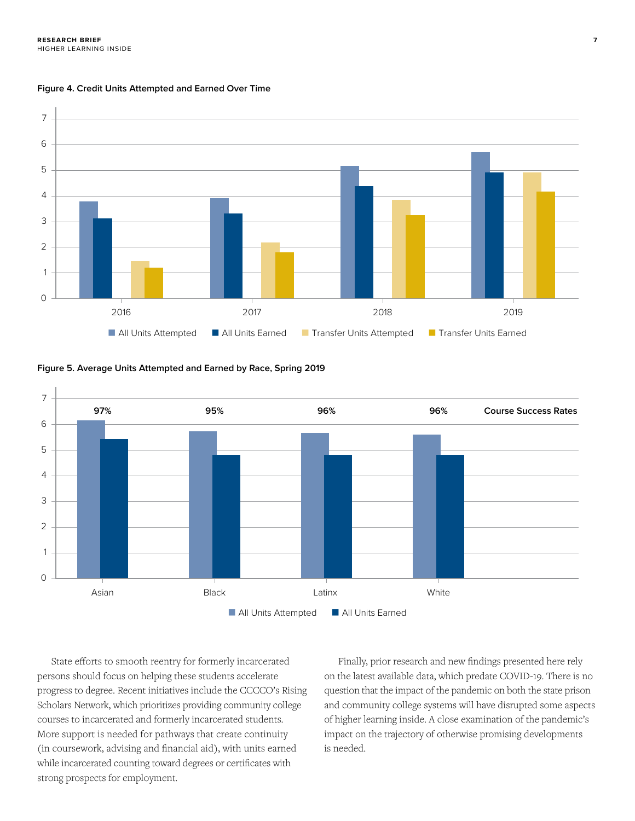

**Figure 4. Credit Units Attempted and Earned Over Time**





State efforts to smooth reentry for formerly incarcerated persons should focus on helping these students accelerate progress to degree. Recent initiatives include the CCCCO's Rising Scholars Network, which prioritizes providing community college courses to incarcerated and formerly incarcerated students. More support is needed for pathways that create continuity (in coursework, advising and financial aid), with units earned while incarcerated counting toward degrees or certificates with strong prospects for employment.

Finally, prior research and new findings presented here rely on the latest available data, which predate COVID-19. There is no question that the impact of the pandemic on both the state prison and community college systems will have disrupted some aspects of higher learning inside. A close examination of the pandemic's impact on the trajectory of otherwise promising developments is needed.